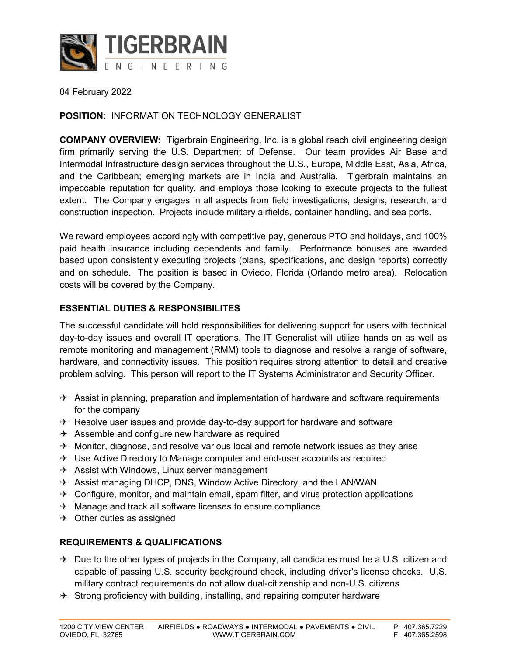

04 February 2022

#### **POSITION:** INFORMATION TECHNOLOGY GENERALIST

**COMPANY OVERVIEW:** Tigerbrain Engineering, Inc. is a global reach civil engineering design firm primarily serving the U.S. Department of Defense. Our team provides Air Base and Intermodal Infrastructure design services throughout the U.S., Europe, Middle East, Asia, Africa, and the Caribbean; emerging markets are in India and Australia. Tigerbrain maintains an impeccable reputation for quality, and employs those looking to execute projects to the fullest extent. The Company engages in all aspects from field investigations, designs, research, and construction inspection. Projects include military airfields, container handling, and sea ports.

We reward employees accordingly with competitive pay, generous PTO and holidays, and 100% paid health insurance including dependents and family. Performance bonuses are awarded based upon consistently executing projects (plans, specifications, and design reports) correctly and on schedule. The position is based in Oviedo, Florida (Orlando metro area). Relocation costs will be covered by the Company.

#### **ESSENTIAL DUTIES & RESPONSIBILITES**

The successful candidate will hold responsibilities for delivering support for users with technical day-to-day issues and overall IT operations. The IT Generalist will utilize hands on as well as remote monitoring and management (RMM) tools to diagnose and resolve a range of software, hardware, and connectivity issues. This position requires strong attention to detail and creative problem solving. This person will report to the IT Systems Administrator and Security Officer.

- $\rightarrow$  Assist in planning, preparation and implementation of hardware and software requirements for the company
- $\rightarrow$  Resolve user issues and provide day-to-day support for hardware and software
- $\rightarrow$  Assemble and configure new hardware as required
- $\rightarrow$  Monitor, diagnose, and resolve various local and remote network issues as they arise
- $\rightarrow$  Use Active Directory to Manage computer and end-user accounts as required
- $\rightarrow$  Assist with Windows, Linux server management
- $\rightarrow$  Assist managing DHCP, DNS, Window Active Directory, and the LAN/WAN
- $\rightarrow$  Configure, monitor, and maintain email, spam filter, and virus protection applications
- $\rightarrow$  Manage and track all software licenses to ensure compliance
- $\rightarrow$  Other duties as assigned

#### **REQUIREMENTS & QUALIFICATIONS**

- $\rightarrow$  Due to the other types of projects in the Company, all candidates must be a U.S. citizen and capable of passing U.S. security background check, including driver's license checks. U.S. military contract requirements do not allow dual-citizenship and non-U.S. citizens
- $\rightarrow$  Strong proficiency with building, installing, and repairing computer hardware